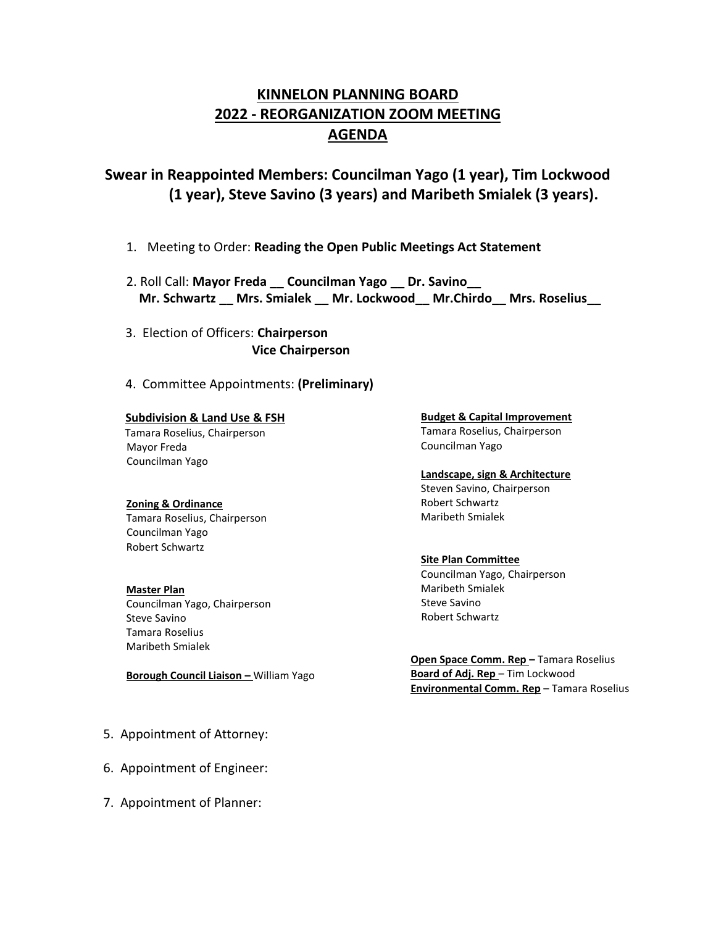# **KINNELON PLANNING BOARD 2022 - REORGANIZATION ZOOM MEETING AGENDA**

## **Swear in Reappointed Members: Councilman Yago (1 year), Tim Lockwood (1 year), Steve Savino (3 years) and Maribeth Smialek (3 years).**

- 1. Meeting to Order: **Reading the Open Public Meetings Act Statement**
- 2. Roll Call: **Mayor Freda \_\_ Councilman Yago \_\_ Dr. Savino\_\_ Mr. Schwartz \_\_ Mrs. Smialek \_\_ Mr. Lockwood\_\_ Mr.Chirdo\_\_ Mrs. Roselius\_\_**
- 3. Election of Officers: **Chairperson Vice Chairperson**
- 4. Committee Appointments: **(Preliminary)**

### **Subdivision & Land Use & FSH**

 Tamara Roselius, Chairperson Mayor Freda Councilman Yago

#### **Zoning & Ordinance**

Tamara Roselius, Chairperson Councilman Yago Robert Schwartz

**Master Plan** Councilman Yago, Chairperson Steve Savino Tamara Roselius Maribeth Smialek

**Borough Council Liaison –** William Yago

- 5. Appointment of Attorney:
- 6. Appointment of Engineer:
- 7. Appointment of Planner:

**Budget & Capital Improvement** Tamara Roselius, Chairperson Councilman Yago

#### **Landscape, sign & Architecture**

Steven Savino, Chairperson Robert Schwartz Maribeth Smialek

#### **Site Plan Committee**

Councilman Yago, Chairperson Maribeth Smialek Steve Savino Robert Schwartz

 **Open Space Comm. Rep –** Tamara Roselius **Board of Adj. Rep** – Tim Lockwood  **Environmental Comm. Rep** – Tamara Roselius